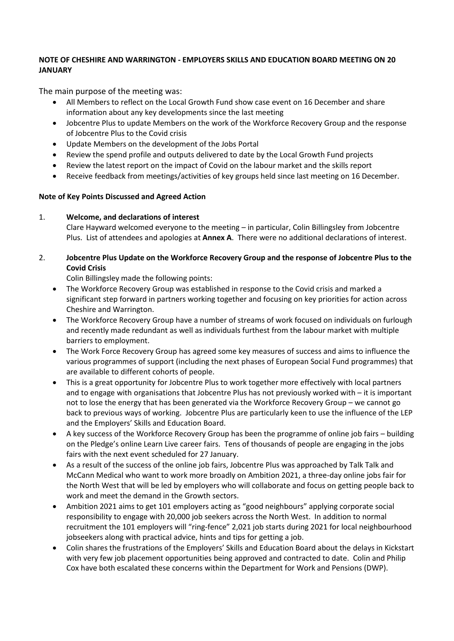### **NOTE OF CHESHIRE AND WARRINGTON - EMPLOYERS SKILLS AND EDUCATION BOARD MEETING ON 20 JANUARY**

The main purpose of the meeting was:

- All Members to reflect on the Local Growth Fund show case event on 16 December and share information about any key developments since the last meeting
- Jobcentre Plus to update Members on the work of the Workforce Recovery Group and the response of Jobcentre Plus to the Covid crisis
- Update Members on the development of the Jobs Portal
- Review the spend profile and outputs delivered to date by the Local Growth Fund projects
- Review the latest report on the impact of Covid on the labour market and the skills report
- Receive feedback from meetings/activities of key groups held since last meeting on 16 December.

## **Note of Key Points Discussed and Agreed Action**

# 1. **Welcome, and declarations of interest**

Clare Hayward welcomed everyone to the meeting – in particular, Colin Billingsley from Jobcentre Plus. List of attendees and apologies at **Annex A**. There were no additional declarations of interest.

# 2. **Jobcentre Plus Update on the Workforce Recovery Group and the response of Jobcentre Plus to the Covid Crisis**

Colin Billingsley made the following points:

- The Workforce Recovery Group was established in response to the Covid crisis and marked a significant step forward in partners working together and focusing on key priorities for action across Cheshire and Warrington.
- The Workforce Recovery Group have a number of streams of work focused on individuals on furlough and recently made redundant as well as individuals furthest from the labour market with multiple barriers to employment.
- The Work Force Recovery Group has agreed some key measures of success and aims to influence the various programmes of support (including the next phases of European Social Fund programmes) that are available to different cohorts of people.
- This is a great opportunity for Jobcentre Plus to work together more effectively with local partners and to engage with organisations that Jobcentre Plus has not previously worked with – it is important not to lose the energy that has been generated via the Workforce Recovery Group – we cannot go back to previous ways of working. Jobcentre Plus are particularly keen to use the influence of the LEP and the Employers' Skills and Education Board.
- A key success of the Workforce Recovery Group has been the programme of online job fairs building on the Pledge's online Learn Live career fairs. Tens of thousands of people are engaging in the jobs fairs with the next event scheduled for 27 January.
- As a result of the success of the online job fairs, Jobcentre Plus was approached by Talk Talk and McCann Medical who want to work more broadly on Ambition 2021, a three-day online jobs fair for the North West that will be led by employers who will collaborate and focus on getting people back to work and meet the demand in the Growth sectors.
- Ambition 2021 aims to get 101 employers acting as "good neighbours" applying corporate social responsibility to engage with 20,000 job seekers across the North West. In addition to normal recruitment the 101 employers will "ring-fence" 2,021 job starts during 2021 for local neighbourhood jobseekers along with practical advice, hints and tips for getting a job.
- Colin shares the frustrations of the Employers' Skills and Education Board about the delays in Kickstart with very few job placement opportunities being approved and contracted to date. Colin and Philip Cox have both escalated these concerns within the Department for Work and Pensions (DWP).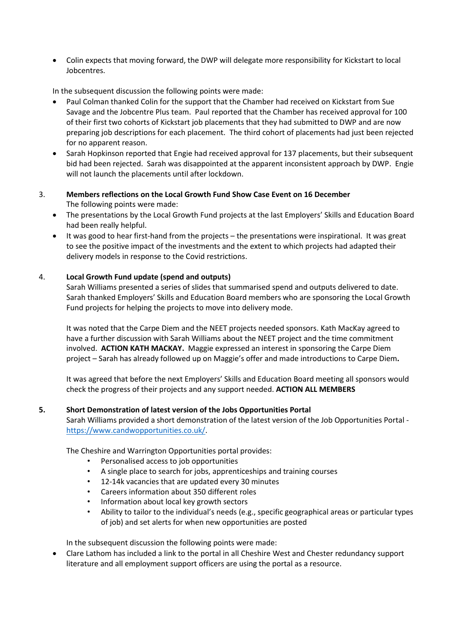• Colin expects that moving forward, the DWP will delegate more responsibility for Kickstart to local Jobcentres.

In the subsequent discussion the following points were made:

- Paul Colman thanked Colin for the support that the Chamber had received on Kickstart from Sue Savage and the Jobcentre Plus team. Paul reported that the Chamber has received approval for 100 of their first two cohorts of Kickstart job placements that they had submitted to DWP and are now preparing job descriptions for each placement. The third cohort of placements had just been rejected for no apparent reason.
- Sarah Hopkinson reported that Engie had received approval for 137 placements, but their subsequent bid had been rejected. Sarah was disappointed at the apparent inconsistent approach by DWP. Engie will not launch the placements until after lockdown.
- 3. **Members reflections on the Local Growth Fund Show Case Event on 16 December** The following points were made:
	- The presentations by the Local Growth Fund projects at the last Employers' Skills and Education Board had been really helpful.
	- It was good to hear first-hand from the projects the presentations were inspirational. It was great to see the positive impact of the investments and the extent to which projects had adapted their delivery models in response to the Covid restrictions.

### 4. **Local Growth Fund update (spend and outputs)**

Sarah Williams presented a series of slides that summarised spend and outputs delivered to date. Sarah thanked Employers' Skills and Education Board members who are sponsoring the Local Growth Fund projects for helping the projects to move into delivery mode.

It was noted that the Carpe Diem and the NEET projects needed sponsors. Kath MacKay agreed to have a further discussion with Sarah Williams about the NEET project and the time commitment involved. **ACTION KATH MACKAY.** Maggie expressed an interest in sponsoring the Carpe Diem project – Sarah has already followed up on Maggie's offer and made introductions to Carpe Diem**.**

It was agreed that before the next Employers' Skills and Education Board meeting all sponsors would check the progress of their projects and any support needed. **ACTION ALL MEMBERS**

### **5. Short Demonstration of latest version of the Jobs Opportunities Portal**

Sarah Williams provided a short demonstration of the latest version of the Job Opportunities Portal [https://www.candwopportunities.co.uk/.](https://www.candwopportunities.co.uk/)

The Cheshire and Warrington Opportunities portal provides:

- Personalised access to job opportunities
- A single place to search for jobs, apprenticeships and training courses
- 12-14k vacancies that are updated every 30 minutes
- Careers information about 350 different roles
- Information about local key growth sectors
- Ability to tailor to the individual's needs (e.g., specific geographical areas or particular types of job) and set alerts for when new opportunities are posted

In the subsequent discussion the following points were made:

• Clare Lathom has included a link to the portal in all Cheshire West and Chester redundancy support literature and all employment support officers are using the portal as a resource.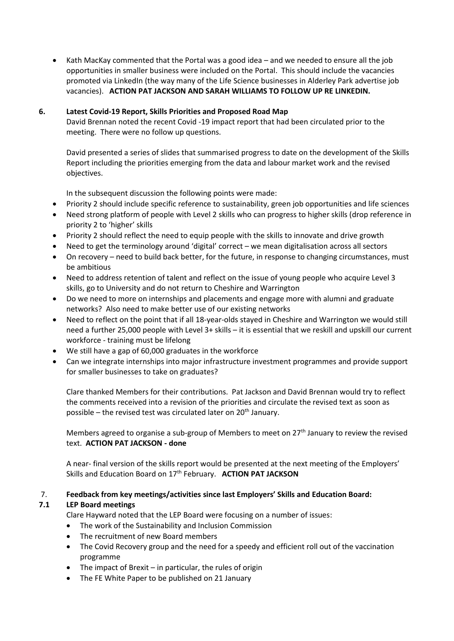• Kath MacKay commented that the Portal was a good idea – and we needed to ensure all the job opportunities in smaller business were included on the Portal. This should include the vacancies promoted via LinkedIn (the way many of the Life Science businesses in Alderley Park advertise job vacancies). **ACTION PAT JACKSON AND SARAH WILLIAMS TO FOLLOW UP RE LINKEDIN.**

### **6. Latest Covid-19 Report, Skills Priorities and Proposed Road Map**

David Brennan noted the recent Covid -19 impact report that had been circulated prior to the meeting. There were no follow up questions.

David presented a series of slides that summarised progress to date on the development of the Skills Report including the priorities emerging from the data and labour market work and the revised objectives.

In the subsequent discussion the following points were made:

- Priority 2 should include specific reference to sustainability, green job opportunities and life sciences
- Need strong platform of people with Level 2 skills who can progress to higher skills (drop reference in priority 2 to 'higher' skills
- Priority 2 should reflect the need to equip people with the skills to innovate and drive growth
- Need to get the terminology around 'digital' correct we mean digitalisation across all sectors
- On recovery need to build back better, for the future, in response to changing circumstances, must be ambitious
- Need to address retention of talent and reflect on the issue of young people who acquire Level 3 skills, go to University and do not return to Cheshire and Warrington
- Do we need to more on internships and placements and engage more with alumni and graduate networks? Also need to make better use of our existing networks
- Need to reflect on the point that if all 18-year-olds stayed in Cheshire and Warrington we would still need a further 25,000 people with Level 3+ skills – it is essential that we reskill and upskill our current workforce - training must be lifelong
- We still have a gap of 60,000 graduates in the workforce
- Can we integrate internships into major infrastructure investment programmes and provide support for smaller businesses to take on graduates?

Clare thanked Members for their contributions. Pat Jackson and David Brennan would try to reflect the comments received into a revision of the priorities and circulate the revised text as soon as possible – the revised test was circulated later on  $20<sup>th</sup>$  January.

Members agreed to organise a sub-group of Members to meet on  $27<sup>th</sup>$  January to review the revised text. **ACTION PAT JACKSON - done**

A near- final version of the skills report would be presented at the next meeting of the Employers' Skills and Education Board on 17<sup>th</sup> February. **ACTION PAT JACKSON** 

### 7. **Feedback from key meetings/activities since last Employers' Skills and Education Board:**

## **7.1 LEP Board meetings**

Clare Hayward noted that the LEP Board were focusing on a number of issues:

- The work of the Sustainability and Inclusion Commission
- The recruitment of new Board members
- The Covid Recovery group and the need for a speedy and efficient roll out of the vaccination programme
- The impact of Brexit  $-$  in particular, the rules of origin
- The FE White Paper to be published on 21 January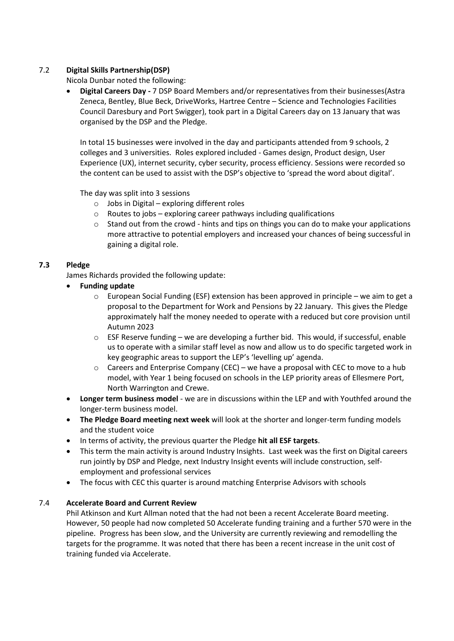## 7.2 **Digital Skills Partnership(DSP)**

Nicola Dunbar noted the following:

• **Digital Careers Day -** 7 DSP Board Members and/or representatives from their businesses(Astra Zeneca, Bentley, Blue Beck, DriveWorks, Hartree Centre – Science and Technologies Facilities Council Daresbury and Port Swigger), took part in a Digital Careers day on 13 January that was organised by the DSP and the Pledge.

In total 15 businesses were involved in the day and participants attended from 9 schools, 2 colleges and 3 universities. Roles explored included - Games design, Product design, User Experience (UX), internet security, cyber security, process efficiency. Sessions were recorded so the content can be used to assist with the DSP's objective to 'spread the word about digital'.

The day was split into 3 sessions

- $\circ$  Jobs in Digital exploring different roles
- $\circ$  Routes to jobs exploring career pathways including qualifications
- $\circ$  Stand out from the crowd hints and tips on things you can do to make your applications more attractive to potential employers and increased your chances of being successful in gaining a digital role.

### **7.3 Pledge**

James Richards provided the following update:

- **Funding update** 
	- $\circ$  European Social Funding (ESF) extension has been approved in principle we aim to get a proposal to the Department for Work and Pensions by 22 January. This gives the Pledge approximately half the money needed to operate with a reduced but core provision until Autumn 2023
	- o ESF Reserve funding we are developing a further bid. This would, if successful, enable us to operate with a similar staff level as now and allow us to do specific targeted work in key geographic areas to support the LEP's 'levelling up' agenda.
	- $\circ$  Careers and Enterprise Company (CEC) we have a proposal with CEC to move to a hub model, with Year 1 being focused on schools in the LEP priority areas of Ellesmere Port, North Warrington and Crewe.
- **Longer term business model** we are in discussions within the LEP and with Youthfed around the longer-term business model.
- **The Pledge Board meeting next week** will look at the shorter and longer-term funding models and the student voice
- In terms of activity, the previous quarter the Pledge **hit all ESF targets**.
- This term the main activity is around Industry Insights. Last week was the first on Digital careers run jointly by DSP and Pledge, next Industry Insight events will include construction, selfemployment and professional services
- The focus with CEC this quarter is around matching Enterprise Advisors with schools

## 7.4 **Accelerate Board and Current Review**

Phil Atkinson and Kurt Allman noted that the had not been a recent Accelerate Board meeting. However, 50 people had now completed 50 Accelerate funding training and a further 570 were in the pipeline. Progress has been slow, and the University are currently reviewing and remodelling the targets for the programme. It was noted that there has been a recent increase in the unit cost of training funded via Accelerate.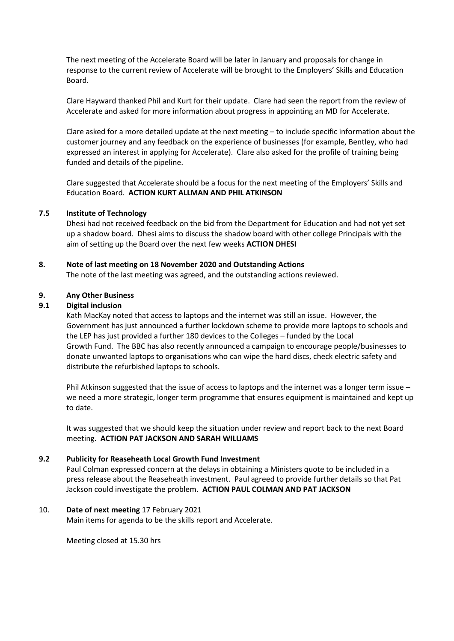The next meeting of the Accelerate Board will be later in January and proposals for change in response to the current review of Accelerate will be brought to the Employers' Skills and Education Board.

Clare Hayward thanked Phil and Kurt for their update. Clare had seen the report from the review of Accelerate and asked for more information about progress in appointing an MD for Accelerate.

Clare asked for a more detailed update at the next meeting – to include specific information about the customer journey and any feedback on the experience of businesses (for example, Bentley, who had expressed an interest in applying for Accelerate). Clare also asked for the profile of training being funded and details of the pipeline.

Clare suggested that Accelerate should be a focus for the next meeting of the Employers' Skills and Education Board. **ACTION KURT ALLMAN AND PHIL ATKINSON**

#### **7.5 Institute of Technology**

Dhesi had not received feedback on the bid from the Department for Education and had not yet set up a shadow board. Dhesi aims to discuss the shadow board with other college Principals with the aim of setting up the Board over the next few weeks **ACTION DHESI**

#### **8. Note of last meeting on 18 November 2020 and Outstanding Actions**

The note of the last meeting was agreed, and the outstanding actions reviewed.

#### **9. Any Other Business**

#### **9.1 Digital inclusion**

Kath MacKay noted that access to laptops and the internet was still an issue. However, the Government has just announced a further lockdown scheme to provide more laptops to schools and the LEP has just provided a further 180 devices to the Colleges – funded by the Local Growth Fund. The BBC has also recently announced a campaign to encourage people/businesses to donate unwanted laptops to organisations who can wipe the hard discs, check electric safety and distribute the refurbished laptops to schools.

Phil Atkinson suggested that the issue of access to laptops and the internet was a longer term issue – we need a more strategic, longer term programme that ensures equipment is maintained and kept up to date.

It was suggested that we should keep the situation under review and report back to the next Board meeting. **ACTION PAT JACKSON AND SARAH WILLIAMS**

#### **9.2 Publicity for Reaseheath Local Growth Fund Investment**

Paul Colman expressed concern at the delays in obtaining a Ministers quote to be included in a press release about the Reaseheath investment. Paul agreed to provide further details so that Pat Jackson could investigate the problem. **ACTION PAUL COLMAN AND PAT JACKSON**

#### 10. **Date of next meeting** 17 February 2021

Main items for agenda to be the skills report and Accelerate.

Meeting closed at 15.30 hrs